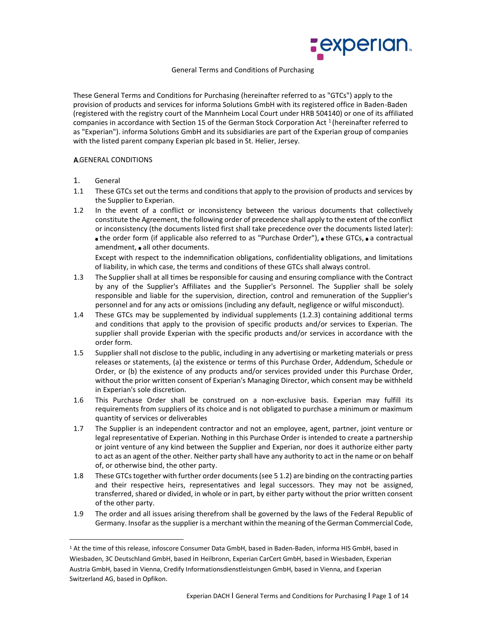

## General Terms and Conditions of Purchasing

These General Terms and Conditions for Purchasing (hereinafter referred to as "GTCs") apply to the provision of products and services for informa Solutions GmbH with its registered office in Baden-Baden (registered with the registry court of the Mannheim Local Court under HRB 504140) or one of its affiliated companies in accordance with Section 15 of the German Stock Corporation Act  $^1$  (hereinafter referred to as "Experian"). informa Solutions GmbH and its subsidiaries are part of the Experian group of companies with the listed parent company Experian plc based in St. Helier, Jersey.

### **A.GENERAL CONDITIONS**

- 1. General
- 1.1 These GTCs set out the terms and conditions that apply to the provision of products and services by the Supplier to Experian.
- 1.2 In the event of a conflict or inconsistency between the various documents that collectively constitute the Agreement, the following order of precedence shall apply to the extent of the conflict or inconsistency (the documents listed first shall take precedence over the documents listed later):  $\bullet$  the order form (if applicable also referred to as "Purchase Order"),  $\bullet$  these GTCs,  $\bullet$  a contractual amendment, • all other documents.

Except with respect to the indemnification obligations, confidentiality obligations, and limitations of liability, in which case, the terms and conditions of these GTCs shall always control.

- 1.3 The Supplier shall at all times be responsible for causing and ensuring compliance with the Contract by any of the Supplier's Affiliates and the Supplier's Personnel. The Supplier shall be solely responsible and liable for the supervision, direction, control and remuneration of the Supplier's personnel and for any acts or omissions (including any default, negligence or wilful misconduct).
- 1.4 These GTCs may be supplemented by individual supplements (1.2.3) containing additional terms and conditions that apply to the provision of specific products and/or services to Experian. The supplier shall provide Experian with the specific products and/or services in accordance with the order form.
- 1.5 Supplier shall not disclose to the public, including in any advertising or marketing materials or press releases or statements, (a) the existence or terms of this Purchase Order, Addendum, Schedule or Order, or (b) the existence of any products and/or services provided under this Purchase Order, without the prior written consent of Experian's Managing Director, which consent may be withheld in Experian's sole discretion.
- 1.6 This Purchase Order shall be construed on a non-exclusive basis. Experian may fulfill its requirements from suppliers of its choice and is not obligated to purchase a minimum or maximum quantity of services or deliverables
- 1.7 The Supplier is an independent contractor and not an employee, agent, partner, joint venture or legal representative of Experian. Nothing in this Purchase Order is intended to create a partnership or joint venture of any kind between the Supplier and Experian, nor does it authorize either party to act as an agent of the other. Neither party shall have any authority to act in the name or on behalf of, or otherwise bind, the other party.
- 1.8 These GTCs together with further order documents (see 5 1.2) are binding on the contracting parties and their respective heirs, representatives and legal successors. They may not be assigned, transferred, shared or divided, in whole or in part, by either party without the prior written consent of the other party.
- 1.9 The order and all issues arising therefrom shall be governed by the laws of the Federal Republic of Germany. Insofar as the supplier is a merchant within the meaning of the German Commercial Code,

<sup>1</sup> At the time of this release, infoscore Consumer Data GmbH, based in Baden-Baden, informa HIS GmbH, based in Wiesbaden, 3C Deutschland GmbH, based in Heilbronn, Experian CarCert GmbH, based in Wiesbaden, Experian Austria GmbH, based in Vienna, Credify Informationsdienstleistungen GmbH, based in Vienna, and Experian Switzerland AG, based in Opfikon.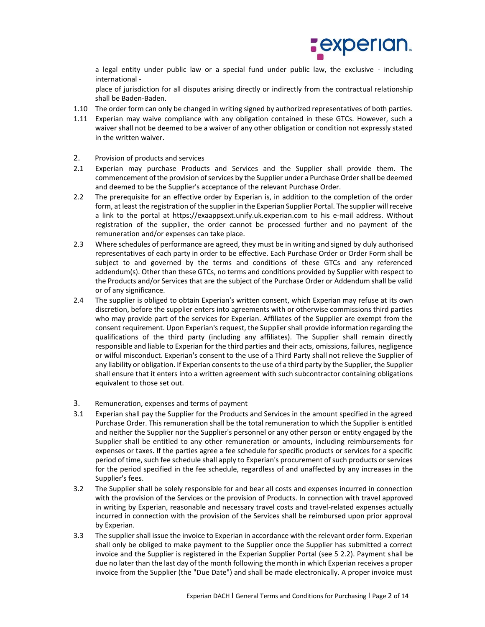

a legal entity under public law or a special fund under public law, the exclusive - including international -

place of jurisdiction for all disputes arising directly or indirectly from the contractual relationship shall be Baden-Baden.

- 1.10 The order form can only be changed in writing signed by authorized representatives of both parties.
- 1.11 Experian may waive compliance with any obligation contained in these GTCs. However, such a waiver shall not be deemed to be a waiver of any other obligation or condition not expressly stated in the written waiver.
- 2. Provision of products and services
- 2.1 Experian may purchase Products and Services and the Supplier shall provide them. The commencement of the provision of services by the Supplier under a Purchase Order shall be deemed and deemed to be the Supplier's acceptance of the relevant Purchase Order.
- 2.2 The prerequisite for an effective order by Experian is, in addition to the completion of the order form, at least the registration of the supplier in the Experian Supplier Portal. The supplier will receive a link to the portal at https://exaappsext.unify.uk.experian.com to his e-mail address. Without registration of the supplier, the order cannot be processed further and no payment of the remuneration and/or expenses can take place.
- 2.3 Where schedules of performance are agreed, they must be in writing and signed by duly authorised representatives of each party in order to be effective. Each Purchase Order or Order Form shall be subject to and governed by the terms and conditions of these GTCs and any referenced addendum(s). Other than these GTCs, no terms and conditions provided by Supplier with respect to the Products and/or Services that are the subject of the Purchase Order or Addendum shall be valid or of any significance.
- 2.4 The supplier is obliged to obtain Experian's written consent, which Experian may refuse at its own discretion, before the supplier enters into agreements with or otherwise commissions third parties who may provide part of the services for Experian. Affiliates of the Supplier are exempt from the consent requirement. Upon Experian's request, the Supplier shall provide information regarding the qualifications of the third party (including any affiliates). The Supplier shall remain directly responsible and liable to Experian for the third parties and their acts, omissions, failures, negligence or wilful misconduct. Experian's consent to the use of a Third Party shall not relieve the Supplier of any liability or obligation. If Experian consents to the use of a third party by the Supplier, the Supplier shall ensure that it enters into a written agreement with such subcontractor containing obligations equivalent to those set out.
- 3. Remuneration, expenses and terms of payment
- 3.1 Experian shall pay the Supplier for the Products and Services in the amount specified in the agreed Purchase Order. This remuneration shall be the total remuneration to which the Supplier is entitled and neither the Supplier nor the Supplier's personnel or any other person or entity engaged by the Supplier shall be entitled to any other remuneration or amounts, including reimbursements for expenses or taxes. If the parties agree a fee schedule for specific products or services for a specific period of time, such fee schedule shall apply to Experian's procurement of such products or services for the period specified in the fee schedule, regardless of and unaffected by any increases in the Supplier's fees.
- 3.2 The Supplier shall be solely responsible for and bear all costs and expenses incurred in connection with the provision of the Services or the provision of Products. In connection with travel approved in writing by Experian, reasonable and necessary travel costs and travel-related expenses actually incurred in connection with the provision of the Services shall be reimbursed upon prior approval by Experian.
- 3.3 The supplier shall issue the invoice to Experian in accordance with the relevant order form. Experian shall only be obliged to make payment to the Supplier once the Supplier has submitted a correct invoice and the Supplier is registered in the Experian Supplier Portal (see 5 2.2). Payment shall be due no later than the last day of the month following the month in which Experian receives a proper invoice from the Supplier (the "Due Date") and shall be made electronically. A proper invoice must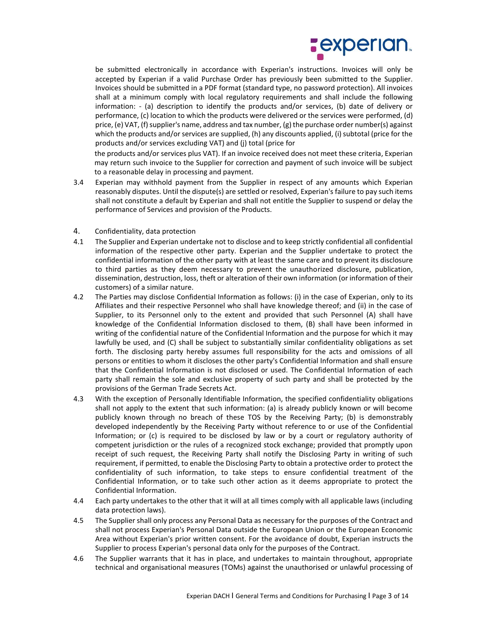

be submitted electronically in accordance with Experian's instructions. Invoices will only be accepted by Experian if a valid Purchase Order has previously been submitted to the Supplier. Invoices should be submitted in a PDF format (standard type, no password protection). All invoices shall at a minimum comply with local regulatory requirements and shall include the following information: - (a) description to identify the products and/or services, (b) date of delivery or performance, (c) location to which the products were delivered or the services were performed, (d) price, (e) VAT, (f) supplier's name, address and tax number, (g) the purchase order number(s) against which the products and/or services are supplied, (h) any discounts applied, (i) subtotal (price for the products and/or services excluding VAT) and (j) total (price for

the products and/or services plus VAT). If an invoice received does not meet these criteria, Experian may return such invoice to the Supplier for correction and payment of such invoice will be subject to a reasonable delay in processing and payment.

- 3.4 Experian may withhold payment from the Supplier in respect of any amounts which Experian reasonably disputes. Until the dispute(s) are settled or resolved, Experian's failure to pay such items shall not constitute a default by Experian and shall not entitle the Supplier to suspend or delay the performance of Services and provision of the Products.
- 4. Confidentiality, data protection
- 4.1 The Supplier and Experian undertake not to disclose and to keep strictly confidential all confidential information of the respective other party. Experian and the Supplier undertake to protect the confidential information of the other party with at least the same care and to prevent its disclosure to third parties as they deem necessary to prevent the unauthorized disclosure, publication, dissemination, destruction, loss, theft or alteration of their own information (or information of their customers) of a similar nature.
- 4.2 The Parties may disclose Confidential Information as follows: (i) in the case of Experian, only to its Affiliates and their respective Personnel who shall have knowledge thereof; and (ii) in the case of Supplier, to its Personnel only to the extent and provided that such Personnel (A) shall have knowledge of the Confidential Information disclosed to them, (B) shall have been informed in writing of the confidential nature of the Confidential Information and the purpose for which it may lawfully be used, and (C) shall be subject to substantially similar confidentiality obligations as set forth. The disclosing party hereby assumes full responsibility for the acts and omissions of all persons or entities to whom it discloses the other party's Confidential Information and shall ensure that the Confidential Information is not disclosed or used. The Confidential Information of each party shall remain the sole and exclusive property of such party and shall be protected by the provisions of the German Trade Secrets Act.
- 4.3 With the exception of Personally Identifiable Information, the specified confidentiality obligations shall not apply to the extent that such information: (a) is already publicly known or will become publicly known through no breach of these TOS by the Receiving Party; (b) is demonstrably developed independently by the Receiving Party without reference to or use of the Confidential Information; or (c) is required to be disclosed by law or by a court or regulatory authority of competent jurisdiction or the rules of a recognized stock exchange; provided that promptly upon receipt of such request, the Receiving Party shall notify the Disclosing Party in writing of such requirement, if permitted, to enable the Disclosing Party to obtain a protective order to protect the confidentiality of such information, to take steps to ensure confidential treatment of the Confidential Information, or to take such other action as it deems appropriate to protect the Confidential Information.
- 4.4 Each party undertakes to the other that it will at all times comply with all applicable laws (including data protection laws).
- 4.5 The Supplier shall only process any Personal Data as necessary for the purposes of the Contract and shall not process Experian's Personal Data outside the European Union or the European Economic Area without Experian's prior written consent. For the avoidance of doubt, Experian instructs the Supplier to process Experian's personal data only for the purposes of the Contract.
- 4.6 The Supplier warrants that it has in place, and undertakes to maintain throughout, appropriate technical and organisational measures (TOMs) against the unauthorised or unlawful processing of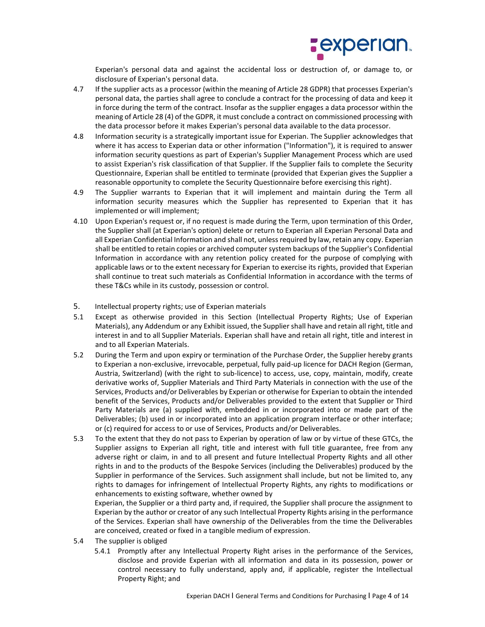

Experian's personal data and against the accidental loss or destruction of, or damage to, or disclosure of Experian's personal data.

- 4.7 If the supplier acts as a processor (within the meaning of Article 28 GDPR) that processes Experian's personal data, the parties shall agree to conclude a contract for the processing of data and keep it in force during the term of the contract. Insofar as the supplier engages a data processor within the meaning of Article 28 (4) of the GDPR, it must conclude a contract on commissioned processing with the data processor before it makes Experian's personal data available to the data processor.
- 4.8 Information security is a strategically important issue for Experian. The Supplier acknowledges that where it has access to Experian data or other information ("Information"), it is required to answer information security questions as part of Experian's Supplier Management Process which are used to assist Experian's risk classification of that Supplier. If the Supplier fails to complete the Security Questionnaire, Experian shall be entitled to terminate (provided that Experian gives the Supplier a reasonable opportunity to complete the Security Questionnaire before exercising this right).
- 4.9 The Supplier warrants to Experian that it will implement and maintain during the Term all information security measures which the Supplier has represented to Experian that it has implemented or will implement;
- 4.10 Upon Experian's request or, if no request is made during the Term, upon termination of this Order, the Supplier shall (at Experian's option) delete or return to Experian all Experian Personal Data and all Experian Confidential Information and shall not, unless required by law, retain any copy. Experian shall be entitled to retain copies or archived computer system backups of the Supplier's Confidential Information in accordance with any retention policy created for the purpose of complying with applicable laws or to the extent necessary for Experian to exercise its rights, provided that Experian shall continue to treat such materials as Confidential Information in accordance with the terms of these T&Cs while in its custody, possession or control.
- 5. Intellectual property rights; use of Experian materials
- 5.1 Except as otherwise provided in this Section (Intellectual Property Rights; Use of Experian Materials), any Addendum or any Exhibit issued, the Supplier shall have and retain all right, title and interest in and to all Supplier Materials. Experian shall have and retain all right, title and interest in and to all Experian Materials.
- 5.2 During the Term and upon expiry or termination of the Purchase Order, the Supplier hereby grants to Experian a non-exclusive, irrevocable, perpetual, fully paid-up licence for DACH Region (German, Austria, Switzerland) (with the right to sub-licence) to access, use, copy, maintain, modify, create derivative works of, Supplier Materials and Third Party Materials in connection with the use of the Services, Products and/or Deliverables by Experian or otherwise for Experian to obtain the intended benefit of the Services, Products and/or Deliverables provided to the extent that Supplier or Third Party Materials are (a) supplied with, embedded in or incorporated into or made part of the Deliverables; (b) used in or incorporated into an application program interface or other interface; or (c) required for access to or use of Services, Products and/or Deliverables.
- 5.3 To the extent that they do not pass to Experian by operation of law or by virtue of these GTCs, the Supplier assigns to Experian all right, title and interest with full title guarantee, free from any adverse right or claim, in and to all present and future Intellectual Property Rights and all other rights in and to the products of the Bespoke Services (including the Deliverables) produced by the Supplier in performance of the Services. Such assignment shall include, but not be limited to, any rights to damages for infringement of Intellectual Property Rights, any rights to modifications or enhancements to existing software, whether owned by

Experian, the Supplier or a third party and, if required, the Supplier shall procure the assignment to Experian by the author or creator of any such Intellectual Property Rights arising in the performance of the Services. Experian shall have ownership of the Deliverables from the time the Deliverables are conceived, created or fixed in a tangible medium of expression.

- 5.4 The supplier is obliged
	- 5.4.1 Promptly after any Intellectual Property Right arises in the performance of the Services, disclose and provide Experian with all information and data in its possession, power or control necessary to fully understand, apply and, if applicable, register the Intellectual Property Right; and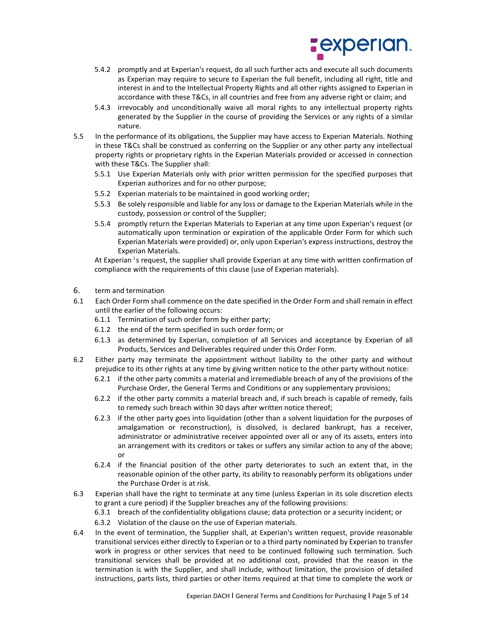

- 5.4.2 promptly and at Experian's request, do all such further acts and execute all such documents as Experian may require to secure to Experian the full benefit, including all right, title and interest in and to the Intellectual Property Rights and all other rights assigned to Experian in accordance with these T&Cs, in all countries and free from any adverse right or claim; and
- 5.4.3 irrevocably and unconditionally waive all moral rights to any intellectual property rights generated by the Supplier in the course of providing the Services or any rights of a similar nature.
- 5.5 In the performance of its obligations, the Supplier may have access to Experian Materials. Nothing in these T&Cs shall be construed as conferring on the Supplier or any other party any intellectual property rights or proprietary rights in the Experian Materials provided or accessed in connection with these T&Cs. The Supplier shall:
	- 5.5.1 Use Experian Materials only with prior written permission for the specified purposes that Experian authorizes and for no other purpose;
	- 5.5.2 Experian materials to be maintained in good working order;
	- 5.5.3 Be solely responsible and liable for any loss or damage to the Experian Materials while in the custody, possession or control of the Supplier;
	- 5.5.4 promptly return the Experian Materials to Experian at any time upon Experian's request (or automatically upon termination or expiration of the applicable Order Form for which such Experian Materials were provided) or, only upon Experian's express instructions, destroy the Experian Materials.

At Experian <sup>I</sup>s request, the supplier shall provide Experian at any time with written confirmation of compliance with the requirements of this clause (use of Experian materials).

- 6. term and termination
- 6.1 Each Order Form shall commence on the date specified in the Order Form and shall remain in effect until the earlier of the following occurs:
	- 6.1.1 Termination of such order form by either party;
	- 6.1.2 the end of the term specified in such order form; or
	- 6.1.3 as determined by Experian, completion of all Services and acceptance by Experian of all Products, Services and Deliverables required under this Order Form.
- 6.2 Either party may terminate the appointment without liability to the other party and without prejudice to its other rights at any time by giving written notice to the other party without notice:
	- 6.2.1 if the other party commits a material and irremediable breach of any of the provisions of the Purchase Order, the General Terms and Conditions or any supplementary provisions;
	- 6.2.2 if the other party commits a material breach and, if such breach is capable of remedy, fails to remedy such breach within 30 days after written notice thereof;
	- 6.2.3 if the other party goes into liquidation (other than a solvent liquidation for the purposes of amalgamation or reconstruction), is dissolved, is declared bankrupt, has a receiver, administrator or administrative receiver appointed over all or any of its assets, enters into an arrangement with its creditors or takes or suffers any similar action to any of the above; or
	- 6.2.4 if the financial position of the other party deteriorates to such an extent that, in the reasonable opinion of the other party, its ability to reasonably perform its obligations under the Purchase Order is at risk.
- 6.3 Experian shall have the right to terminate at any time (unless Experian in its sole discretion elects to grant a cure period) if the Supplier breaches any of the following provisions:

6.3.1 breach of the confidentiality obligations clause; data protection or a security incident; or

- 6.3.2 Violation of the clause on the use of Experian materials.
- 6.4 In the event of termination, the Supplier shall, at Experian's written request, provide reasonable transitional services either directly to Experian or to a third party nominated by Experian to transfer work in progress or other services that need to be continued following such termination. Such transitional services shall be provided at no additional cost, provided that the reason in the termination is with the Supplier, and shall include, without limitation, the provision of detailed instructions, parts lists, third parties or other items required at that time to complete the work or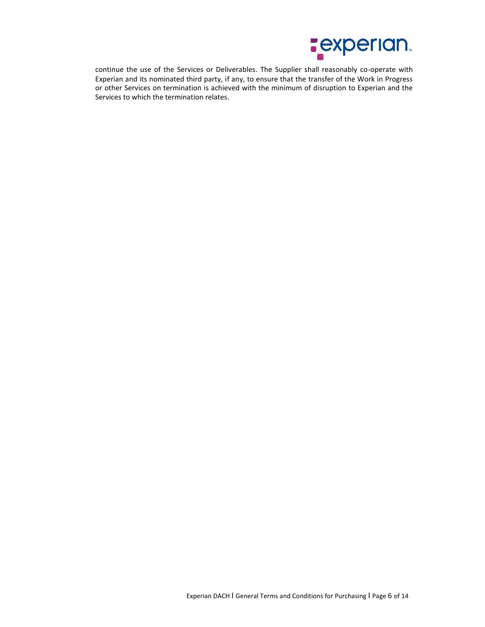

continue the use of the Services or Deliverables. The Supplier shall reasonably co-operate with Experian and its nominated third party, if any, to ensure that the transfer of the Work in Progress or other Services on termination is achieved with the minimum of disruption to Experian and the Services to which the termination relates.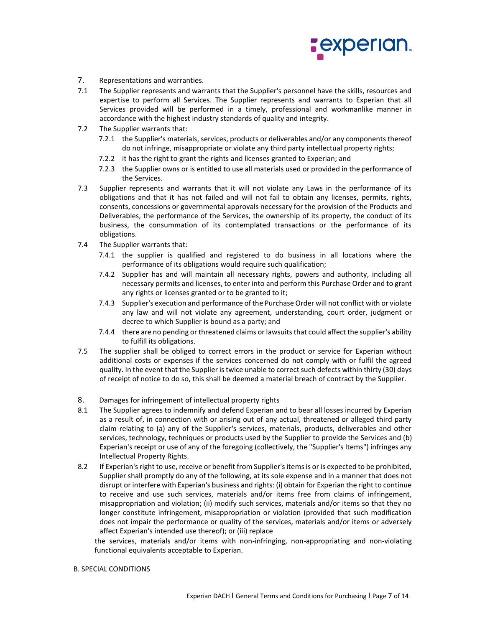

- 7. Representations and warranties.
- 7.1 The Supplier represents and warrants that the Supplier's personnel have the skills, resources and expertise to perform all Services. The Supplier represents and warrants to Experian that all Services provided will be performed in a timely, professional and workmanlike manner in accordance with the highest industry standards of quality and integrity.
- 7.2 The Supplier warrants that:
	- 7.2.1 the Supplier's materials, services, products or deliverables and/or any components thereof do not infringe, misappropriate or violate any third party intellectual property rights;
	- 7.2.2 it has the right to grant the rights and licenses granted to Experian; and
	- 7.2.3 the Supplier owns or is entitled to use all materials used or provided in the performance of the Services.
- 7.3 Supplier represents and warrants that it will not violate any Laws in the performance of its obligations and that it has not failed and will not fail to obtain any licenses, permits, rights, consents, concessions or governmental approvals necessary for the provision of the Products and Deliverables, the performance of the Services, the ownership of its property, the conduct of its business, the consummation of its contemplated transactions or the performance of its obligations.
- 7.4 The Supplier warrants that:
	- 7.4.1 the supplier is qualified and registered to do business in all locations where the performance of its obligations would require such qualification;
	- 7.4.2 Supplier has and will maintain all necessary rights, powers and authority, including all necessary permits and licenses, to enter into and perform this Purchase Order and to grant any rights or licenses granted or to be granted to it;
	- 7.4.3 Supplier's execution and performance of the Purchase Order will not conflict with or violate any law and will not violate any agreement, understanding, court order, judgment or decree to which Supplier is bound as a party; and
	- 7.4.4 there are no pending or threatened claims or lawsuits that could affect the supplier's ability to fulfill its obligations.
- 7.5 The supplier shall be obliged to correct errors in the product or service for Experian without additional costs or expenses if the services concerned do not comply with or fulfil the agreed quality. In the event that the Supplier is twice unable to correct such defects within thirty (30) days of receipt of notice to do so, this shall be deemed a material breach of contract by the Supplier.
- 8. Damages for infringement of intellectual property rights
- 8.1 The Supplier agrees to indemnify and defend Experian and to bear all losses incurred by Experian as a result of, in connection with or arising out of any actual, threatened or alleged third party claim relating to (a) any of the Supplier's services, materials, products, deliverables and other services, technology, techniques or products used by the Supplier to provide the Services and (b) Experian's receipt or use of any of the foregoing (collectively, the "Supplier's Items") infringes any Intellectual Property Rights.
- 8.2 If Experian's right to use, receive or benefit from Supplier's items is or is expected to be prohibited, Supplier shall promptly do any of the following, at its sole expense and in a manner that does not disrupt or interfere with Experian's business and rights: (i) obtain for Experian the right to continue to receive and use such services, materials and/or items free from claims of infringement, misappropriation and violation; (ii) modify such services, materials and/or items so that they no longer constitute infringement, misappropriation or violation (provided that such modification does not impair the performance or quality of the services, materials and/or items or adversely affect Experian's intended use thereof); or (iii) replace

the services, materials and/or items with non-infringing, non-appropriating and non-violating functional equivalents acceptable to Experian.

### B. SPECIAL CONDITIONS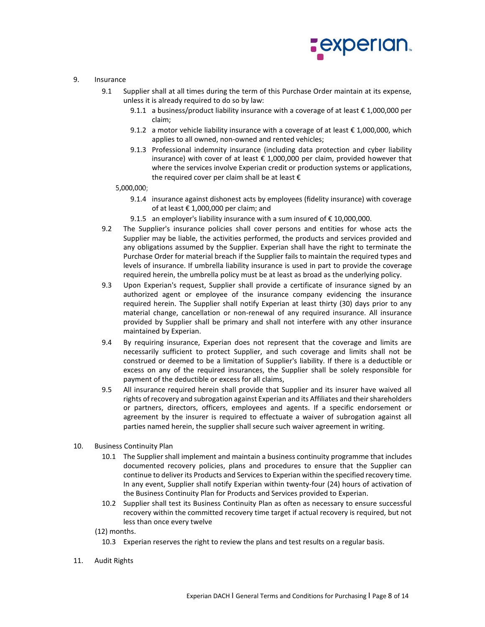

## 9. Insurance

- 9.1 Supplier shall at all times during the term of this Purchase Order maintain at its expense, unless it is already required to do so by law:
	- 9.1.1 a business/product liability insurance with a coverage of at least € 1,000,000 per claim;
	- 9.1.2 a motor vehicle liability insurance with a coverage of at least  $\epsilon$  1,000,000, which applies to all owned, non-owned and rented vehicles;
	- 9.1.3 Professional indemnity insurance (including data protection and cyber liability insurance) with cover of at least  $\epsilon$  1,000,000 per claim, provided however that where the services involve Experian credit or production systems or applications, the required cover per claim shall be at least  $\epsilon$

### 5,000,000;

- 9.1.4 insurance against dishonest acts by employees (fidelity insurance) with coverage of at least  $\epsilon$  1,000,000 per claim; and
- 9.1.5 an employer's liability insurance with a sum insured of  $€ 10,000,000$ .
- 9.2 The Supplier's insurance policies shall cover persons and entities for whose acts the Supplier may be liable, the activities performed, the products and services provided and any obligations assumed by the Supplier. Experian shall have the right to terminate the Purchase Order for material breach if the Supplier fails to maintain the required types and levels of insurance. If umbrella liability insurance is used in part to provide the coverage required herein, the umbrella policy must be at least as broad as the underlying policy.
- 9.3 Upon Experian's request, Supplier shall provide a certificate of insurance signed by an authorized agent or employee of the insurance company evidencing the insurance required herein. The Supplier shall notify Experian at least thirty (30) days prior to any material change, cancellation or non-renewal of any required insurance. All insurance provided by Supplier shall be primary and shall not interfere with any other insurance maintained by Experian.
- 9.4 By requiring insurance, Experian does not represent that the coverage and limits are necessarily sufficient to protect Supplier, and such coverage and limits shall not be construed or deemed to be a limitation of Supplier's liability. If there is a deductible or excess on any of the required insurances, the Supplier shall be solely responsible for payment of the deductible or excess for all claims,
- 9.5 All insurance required herein shall provide that Supplier and its insurer have waived all rights of recovery and subrogation against Experian and its Affiliates and their shareholders or partners, directors, officers, employees and agents. If a specific endorsement or agreement by the insurer is required to effectuate a waiver of subrogation against all parties named herein, the supplier shall secure such waiver agreement in writing.
- 10. Business Continuity Plan
	- 10.1 The Supplier shall implement and maintain a business continuity programme that includes documented recovery policies, plans and procedures to ensure that the Supplier can continue to deliver its Products and Services to Experian within the specified recovery time. In any event, Supplier shall notify Experian within twenty-four (24) hours of activation of the Business Continuity Plan for Products and Services provided to Experian.
	- 10.2 Supplier shall test its Business Continuity Plan as often as necessary to ensure successful recovery within the committed recovery time target if actual recovery is required, but not less than once every twelve

(12) months.

- 10.3 Experian reserves the right to review the plans and test results on a regular basis.
- 11. Audit Rights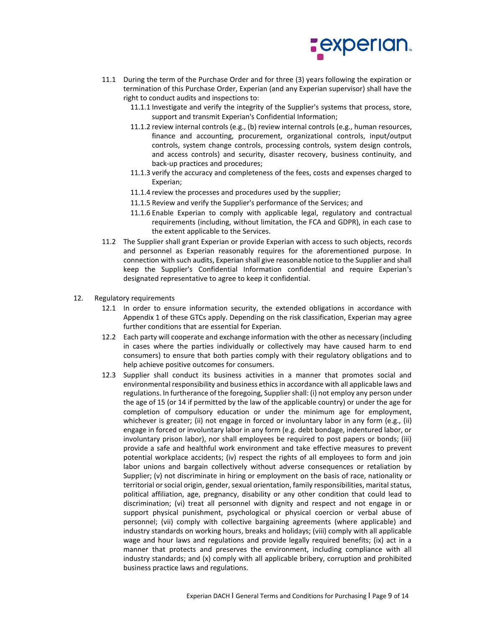

- 11.1 During the term of the Purchase Order and for three (3) years following the expiration or termination of this Purchase Order, Experian (and any Experian supervisor) shall have the right to conduct audits and inspections to:
	- 11.1.1 Investigate and verify the integrity of the Supplier's systems that process, store, support and transmit Experian's Confidential Information;
	- 11.1.2 review internal controls (e.g., (b) review internal controls (e.g., human resources, finance and accounting, procurement, organizational controls, input/output controls, system change controls, processing controls, system design controls, and access controls) and security, disaster recovery, business continuity, and back-up practices and procedures;
	- 11.1.3 verify the accuracy and completeness of the fees, costs and expenses charged to Experian;
	- 11.1.4 review the processes and procedures used by the supplier;
	- 11.1.5 Review and verify the Supplier's performance of the Services; and
	- 11.1.6 Enable Experian to comply with applicable legal, regulatory and contractual requirements (including, without limitation, the FCA and GDPR), in each case to the extent applicable to the Services.
- 11.2 The Supplier shall grant Experian or provide Experian with access to such objects, records and personnel as Experian reasonably requires for the aforementioned purpose. In connection with such audits, Experian shall give reasonable notice to the Supplier and shall keep the Supplier's Confidential Information confidential and require Experian's designated representative to agree to keep it confidential.
- 12. Regulatory requirements
	- 12.1 In order to ensure information security, the extended obligations in accordance with Appendix 1 of these GTCs apply. Depending on the risk classification, Experian may agree further conditions that are essential for Experian.
	- 12.2 Each party will cooperate and exchange information with the other as necessary (including in cases where the parties individually or collectively may have caused harm to end consumers) to ensure that both parties comply with their regulatory obligations and to help achieve positive outcomes for consumers.
	- 12.3 Supplier shall conduct its business activities in a manner that promotes social and environmental responsibility and business ethics in accordance with all applicable laws and regulations. In furtherance of the foregoing, Supplier shall: (i) not employ any person under the age of 15 (or 14 if permitted by the law of the applicable country) or under the age for completion of compulsory education or under the minimum age for employment, whichever is greater; (ii) not engage in forced or involuntary labor in any form (e.g., (ii) engage in forced or involuntary labor in any form (e.g. debt bondage, indentured labor, or involuntary prison labor), nor shall employees be required to post papers or bonds; (iii) provide a safe and healthful work environment and take effective measures to prevent potential workplace accidents; (iv) respect the rights of all employees to form and join labor unions and bargain collectively without adverse consequences or retaliation by Supplier; (v) not discriminate in hiring or employment on the basis of race, nationality or territorial or social origin, gender, sexual orientation, family responsibilities, marital status, political affiliation, age, pregnancy, disability or any other condition that could lead to discrimination; (vi) treat all personnel with dignity and respect and not engage in or support physical punishment, psychological or physical coercion or verbal abuse of personnel; (vii) comply with collective bargaining agreements (where applicable) and industry standards on working hours, breaks and holidays; (viii) comply with all applicable wage and hour laws and regulations and provide legally required benefits; (ix) act in a manner that protects and preserves the environment, including compliance with all industry standards; and (x) comply with all applicable bribery, corruption and prohibited business practice laws and regulations.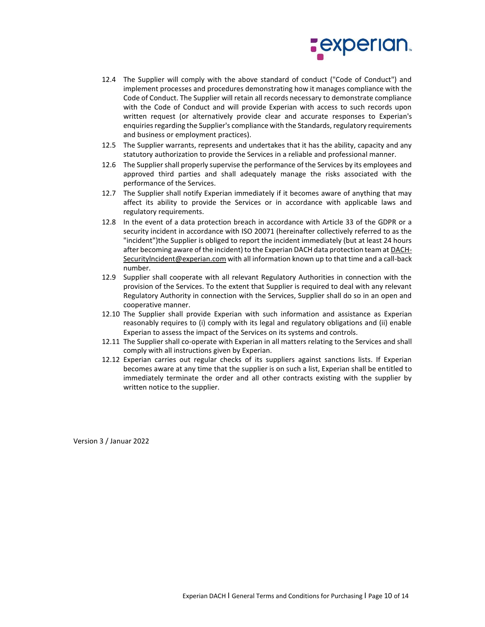

- 12.4 The Supplier will comply with the above standard of conduct ("Code of Conduct") and implement processes and procedures demonstrating how it manages compliance with the Code of Conduct. The Supplier will retain all records necessary to demonstrate compliance with the Code of Conduct and will provide Experian with access to such records upon written request (or alternatively provide clear and accurate responses to Experian's enquiries regarding the Supplier's compliance with the Standards, regulatory requirements and business or employment practices).
- 12.5 The Supplier warrants, represents and undertakes that it has the ability, capacity and any statutory authorization to provide the Services in a reliable and professional manner.
- 12.6 The Supplier shall properly supervise the performance of the Services by its employees and approved third parties and shall adequately manage the risks associated with the performance of the Services.
- 12.7 The Supplier shall notify Experian immediately if it becomes aware of anything that may affect its ability to provide the Services or in accordance with applicable laws and regulatory requirements.
- 12.8 In the event of a data protection breach in accordance with Article 33 of the GDPR or a security incident in accordance with ISO 20071 (hereinafter collectively referred to as the "incident")the Supplier is obliged to report the incident immediately (but at least 24 hours after becoming aware of the incident) to the Experian DACH data protection team at DACH-Securitylncident@experian.com with all information known up to that time and a call-back number.
- 12.9 Supplier shall cooperate with all relevant Regulatory Authorities in connection with the provision of the Services. To the extent that Supplier is required to deal with any relevant Regulatory Authority in connection with the Services, Supplier shall do so in an open and cooperative manner.
- 12.10 The Supplier shall provide Experian with such information and assistance as Experian reasonably requires to (i) comply with its legal and regulatory obligations and (ii) enable Experian to assess the impact of the Services on its systems and controls.
- 12.11 The Supplier shall co-operate with Experian in all matters relating to the Services and shall comply with all instructions given by Experian.
- 12.12 Experian carries out regular checks of its suppliers against sanctions lists. If Experian becomes aware at any time that the supplier is on such a list, Experian shall be entitled to immediately terminate the order and all other contracts existing with the supplier by written notice to the supplier.

Version 3 / Januar 2022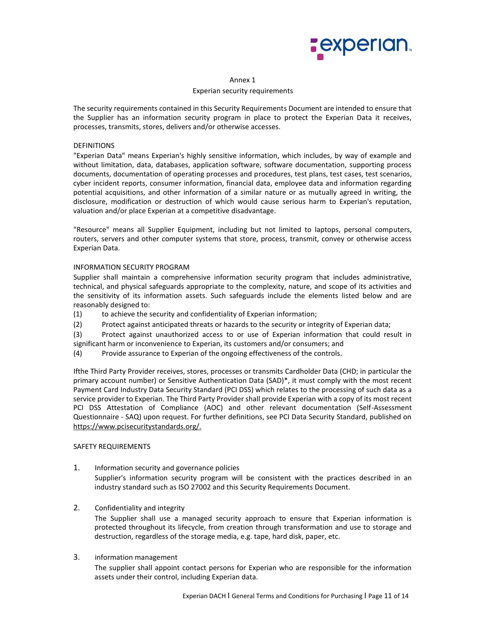

#### Annex 1

### Experian security requirements

The security requirements contained in this Security Requirements Document are intended to ensure that the Supplier has an information security program in place to protect the Experian Data it receives, processes, transmits, stores, delivers and/or otherwise accesses.

## DEFINITIONS

"Experian Data" means Experian's highly sensitive information, which includes, by way of example and without limitation, data, databases, application software, software documentation, supporting process documents, documentation of operating processes and procedures, test plans, test cases, test scenarios, cyber incident reports, consumer information, financial data, employee data and information regarding potential acquisitions, and other information of a similar nature or as mutually agreed in writing, the disclosure, modification or destruction of which would cause serious harm to Experian's reputation, valuation and/or place Experian at a competitive disadvantage.

"Resource" means all Supplier Equipment, including but not limited to laptops, personal computers, routers, servers and other computer systems that store, process, transmit, convey or otherwise access Experian Data.

### INFORMATION SECURITY PROGRAM

Supplier shall maintain a comprehensive information security program that includes administrative, technical, and physical safeguards appropriate to the complexity, nature, and scope of its activities and the sensitivity of its information assets. Such safeguards include the elements listed below and are reasonably designed to:

- (1) to achieve the security and confidentiality of Experian information;
- (2) Protect against anticipated threats or hazards to the security or integrity of Experian data;
- (3) Protect against unauthorized access to or use of Experian information that could result in significant harm or inconvenience to Experian, its customers and/or consumers; and
- (4) Provide assurance to Experian of the ongoing effectiveness of the controls.

Ifthe Third Party Provider receives, stores, processes or transmits Cardholder Data (CHD; in particular the primary account number) or Sensitive Authentication Data (SAD)\*, it must comply with the most recent Payment Card Industry Data Security Standard (PCI DSS) which relates to the processing of such data as a service provider to Experian. The Third Party Provider shall provide Experian with a copy of its most recent PCI DSS Attestation of Compliance (AOC) and other relevant documentation (Self-Assessment Questionnaire - SAQ) upon request. For further definitions, see PCI Data Security Standard, published on https://www.pcisecuritystandards.org/.

### SAFETY REQUIREMENTS

- 1. Information security and governance policies Supplier's information security program will be consistent with the practices described in an
	- industry standard such as ISO 27002 and this Security Requirements Document.
- 2. Confidentiality and integrity

The Supplier shall use a managed security approach to ensure that Experian information is protected throughout its lifecycle, from creation through transformation and use to storage and destruction, regardless of the storage media, e.g. tape, hard disk, paper, etc.

# 3. information management

The supplier shall appoint contact persons for Experian who are responsible for the information assets under their control, including Experian data.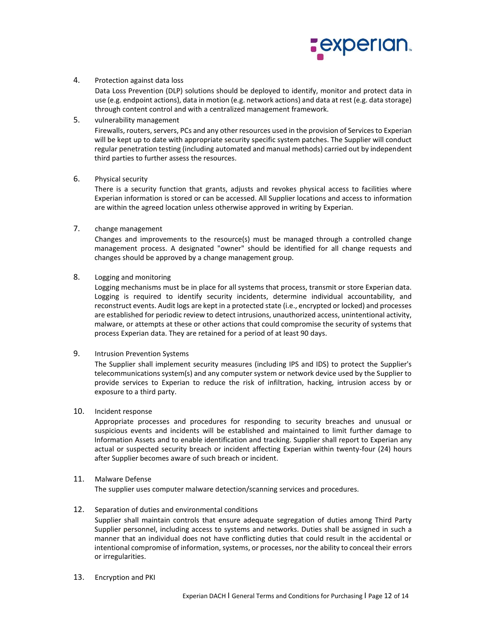

# 4. Protection against data loss

Data Loss Prevention (DLP) solutions should be deployed to identify, monitor and protect data in use (e.g. endpoint actions), data in motion (e.g. network actions) and data at rest (e.g. data storage) through content control and with a centralized management framework.

5. vulnerability management

Firewalls, routers, servers, PCs and any other resources used in the provision of Services to Experian will be kept up to date with appropriate security specific system patches. The Supplier will conduct regular penetration testing (including automated and manual methods) carried out by independent third parties to further assess the resources.

6. Physical security

There is a security function that grants, adjusts and revokes physical access to facilities where Experian information is stored or can be accessed. All Supplier locations and access to information are within the agreed location unless otherwise approved in writing by Experian.

7. change management

Changes and improvements to the resource(s) must be managed through a controlled change management process. A designated "owner" should be identified for all change requests and changes should be approved by a change management group.

8. Logging and monitoring

Logging mechanisms must be in place for all systems that process, transmit or store Experian data. Logging is required to identify security incidents, determine individual accountability, and reconstruct events. Audit logs are kept in a protected state (i.e., encrypted or locked) and processes are established for periodic review to detect intrusions, unauthorized access, unintentional activity, malware, or attempts at these or other actions that could compromise the security of systems that process Experian data. They are retained for a period of at least 90 days.

## 9. Intrusion Prevention Systems

The Supplier shall implement security measures (including IPS and IDS) to protect the Supplier's telecommunications system(s) and any computer system or network device used by the Supplier to provide services to Experian to reduce the risk of infiltration, hacking, intrusion access by or exposure to a third party.

10. Incident response

Appropriate processes and procedures for responding to security breaches and unusual or suspicious events and incidents will be established and maintained to limit further damage to Information Assets and to enable identification and tracking. Supplier shall report to Experian any actual or suspected security breach or incident affecting Experian within twenty-four (24) hours after Supplier becomes aware of such breach or incident.

# 11. Malware Defense

The supplier uses computer malware detection/scanning services and procedures.

# 12. Separation of duties and environmental conditions

Supplier shall maintain controls that ensure adequate segregation of duties among Third Party Supplier personnel, including access to systems and networks. Duties shall be assigned in such a manner that an individual does not have conflicting duties that could result in the accidental or intentional compromise of information, systems, or processes, nor the ability to conceal their errors or irregularities.

13. Encryption and PKI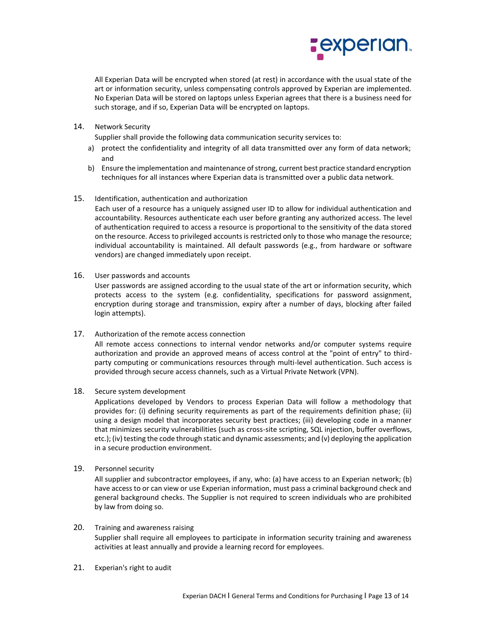

All Experian Data will be encrypted when stored (at rest) in accordance with the usual state of the art or information security, unless compensating controls approved by Experian are implemented. No Experian Data will be stored on laptops unless Experian agrees that there is a business need for such storage, and if so, Experian Data will be encrypted on laptops.

14. Network Security

Supplier shall provide the following data communication security services to:

- a) protect the confidentiality and integrity of all data transmitted over any form of data network; and
- b) Ensure the implementation and maintenance of strong, current best practice standard encryption techniques for all instances where Experian data is transmitted over a public data network.
- 15. Identification, authentication and authorization

Each user of a resource has a uniquely assigned user ID to allow for individual authentication and accountability. Resources authenticate each user before granting any authorized access. The level of authentication required to access a resource is proportional to the sensitivity of the data stored on the resource. Access to privileged accounts is restricted only to those who manage the resource; individual accountability is maintained. All default passwords (e.g., from hardware or software vendors) are changed immediately upon receipt.

16. User passwords and accounts

User passwords are assigned according to the usual state of the art or information security, which protects access to the system (e.g. confidentiality, specifications for password assignment, encryption during storage and transmission, expiry after a number of days, blocking after failed login attempts).

17. Authorization of the remote access connection

All remote access connections to internal vendor networks and/or computer systems require authorization and provide an approved means of access control at the "point of entry" to thirdparty computing or communications resources through multi-level authentication. Such access is provided through secure access channels, such as a Virtual Private Network (VPN).

18. Secure system development

Applications developed by Vendors to process Experian Data will follow a methodology that provides for: (i) defining security requirements as part of the requirements definition phase; (ii) using a design model that incorporates security best practices; (iii) developing code in a manner that minimizes security vulnerabilities (such as cross-site scripting, SQL injection, buffer overflows, etc.); (iv) testing the code through static and dynamic assessments; and (v) deploying the application in a secure production environment.

19. Personnel security

All supplier and subcontractor employees, if any, who: (a) have access to an Experian network; (b) have access to or can view or use Experian information, must pass a criminal background check and general background checks. The Supplier is not required to screen individuals who are prohibited by law from doing so.

- 20. Training and awareness raising Supplier shall require all employees to participate in information security training and awareness activities at least annually and provide a learning record for employees.
- 21. Experian's right to audit